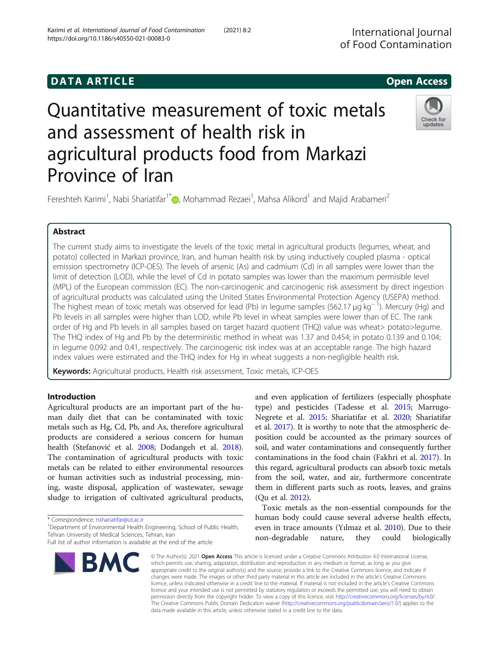# **DATA ARTICLE CONSUMING A RESERVE AND LOCAL CONSUMING A RESERVE AND LOCAL CONSUMING A RESERVE AND LOCAL CONSUMING**

# Quantitative measurement of toxic metals and assessment of health risk in agricultural products food from Markazi Province of Iran

Fereshteh Karimi<sup>1</sup>[,](http://orcid.org/0000-0002-2861-5758) Nabi Shariatifar<sup>1\*</sup>@, Mohammad Rezaei<sup>1</sup>, Mahsa Alikord<sup>1</sup> and Majid Arabameri<sup>2</sup>

# Abstract

The current study aims to investigate the levels of the toxic metal in agricultural products (legumes, wheat, and potato) collected in Markazi province, Iran, and human health risk by using inductively coupled plasma - optical emission spectrometry (ICP-OES). The levels of arsenic (As) and cadmium (Cd) in all samples were lower than the limit of detection (LOD), while the level of Cd in potato samples was lower than the maximum permisible level (MPL) of the European commission (EC). The non-carcinogenic and carcinogenic risk assessment by direct ingestion of agricultural products was calculated using the United States Environmental Protection Agency (USEPA) method. The highest mean of toxic metals was observed for lead (Pb) in legume samples (562.17 μg kg<sup>−1</sup>). Mercury (Hg) and Pb levels in all samples were higher than LOD, while Pb level in wheat samples were lower than of EC. The rank order of Hg and Pb levels in all samples based on target hazard quotient (THQ) value was wheat> potato>legume. The THQ index of Hg and Pb by the deterministic method in wheat was 1.37 and 0.454; in potato 0.139 and 0.104; in legume 0.092 and 0.41, respectively. The carcinogenic risk index was at an acceptable range. The high hazard index values were estimated and the THQ index for Hg in wheat suggests a non-negligible health risk.

Keywords: Agricultural products, Health risk assessment, Toxic metals, ICP-OES

# Introduction

Agricultural products are an important part of the human daily diet that can be contaminated with toxic metals such as Hg, Cd, Pb, and As, therefore agricultural products are considered a serious concern for human health (Stefanović et al. [2008](#page-6-0); Dodangeh et al. [2018](#page-5-0)). The contamination of agricultural products with toxic metals can be related to either environmental resources or human activities such as industrial processing, mining, waste disposal, application of wastewater, sewage sludge to irrigation of cultivated agricultural products,

\* Correspondence: [nshariatifar@ut.ac.ir](mailto:nshariatifar@ut.ac.ir) <sup>1</sup>

BMC

<sup>1</sup>Department of Environmental Health Engineering, School of Public Health, Tehran University of Medical Sciences, Tehran, Iran

and even application of fertilizers (especially phosphate type) and pesticides (Tadesse et al. [2015](#page-6-0); Marrugo-Negrete et al. [2015;](#page-6-0) Shariatifar et al. [2020](#page-6-0); Shariatifar et al. [2017\)](#page-6-0). It is worthy to note that the atmospheric deposition could be accounted as the primary sources of soil, and water contaminations and consequently further contaminations in the food chain (Fakhri et al. [2017](#page-5-0)). In this regard, agricultural products can absorb toxic metals from the soil, water, and air, furthermore concentrate them in different parts such as roots, leaves, and grains (Qu et al. [2012](#page-6-0)).

Toxic metals as the non-essential compounds for the human body could cause several adverse health effects, even in trace amounts (Yılmaz et al. [2010\)](#page-6-0). Due to their non-degradable nature, they could biologically

appropriate credit to the original author(s) and the source, provide a link to the Creative Commons licence, and indicate if changes were made. The images or other third party material in this article are included in the article's Creative Commons licence, unless indicated otherwise in a credit line to the material. If material is not included in the article's Creative Commons licence and your intended use is not permitted by statutory regulation or exceeds the permitted use, you will need to obtain permission directly from the copyright holder. To view a copy of this licence, visit [http://creativecommons.org/licenses/by/4.0/.](http://creativecommons.org/licenses/by/4.0/) The Creative Commons Public Domain Dedication waiver [\(http://creativecommons.org/publicdomain/zero/1.0/](http://creativecommons.org/publicdomain/zero/1.0/)) applies to the data made available in this article, unless otherwise stated in a credit line to the data.

© The Author(s), 2021 **Open Access** This article is licensed under a Creative Commons Attribution 4.0 International License, which permits use, sharing, adaptation, distribution and reproduction in any medium or format, as long as you give



Full list of author information is available at the end of the article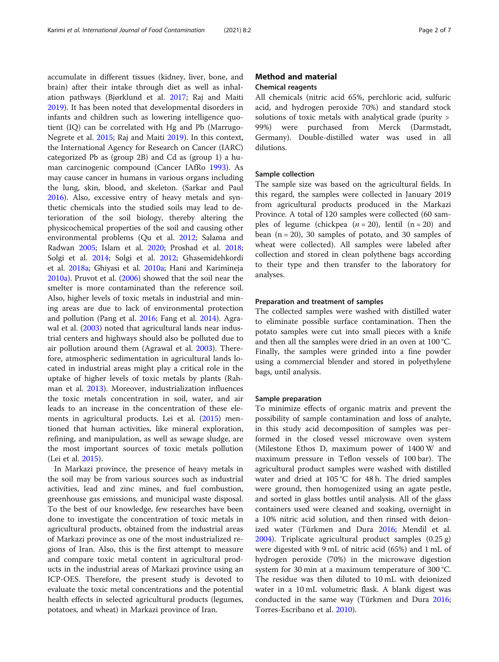accumulate in different tissues (kidney, liver, bone, and brain) after their intake through diet as well as inhalation pathways (Bjørklund et al. [2017](#page-5-0); Raj and Maiti [2019](#page-6-0)). It has been noted that developmental disorders in infants and children such as lowering intelligence quotient (IQ) can be correlated with Hg and Pb (Marrugo-Negrete et al. [2015;](#page-6-0) Raj and Maiti [2019](#page-6-0)). In this context, the International Agency for Research on Cancer (IARC) categorized Pb as (group 2B) and Cd as (group 1) a human carcinogenic compound (Cancer IAfRo [1993\)](#page-5-0). As may cause cancer in humans in various organs including the lung, skin, blood, and skeleton. (Sarkar and Paul [2016](#page-6-0)). Also, excessive entry of heavy metals and synthetic chemicals into the studied soils may lead to deterioration of the soil biology, thereby altering the physicochemical properties of the soil and causing other environmental problems (Qu et al. [2012;](#page-6-0) Salama and Radwan [2005;](#page-6-0) Islam et al. [2020;](#page-5-0) Proshad et al. [2018](#page-6-0); Solgi et al. [2014;](#page-6-0) Solgi et al. [2012;](#page-6-0) Ghasemidehkordi et al. [2018a;](#page-5-0) Ghiyasi et al. [2010a](#page-5-0); Hani and Karimineja [2010a\)](#page-5-0). Pruvot et al. [\(2006\)](#page-6-0) showed that the soil near the smelter is more contaminated than the reference soil. Also, higher levels of toxic metals in industrial and mining areas are due to lack of environmental protection and pollution (Pang et al. [2016](#page-6-0); Fang et al. [2014](#page-5-0)). Agrawal et al. [\(2003\)](#page-5-0) noted that agricultural lands near industrial centers and highways should also be polluted due to air pollution around them (Agrawal et al. [2003\)](#page-5-0). Therefore, atmospheric sedimentation in agricultural lands located in industrial areas might play a critical role in the uptake of higher levels of toxic metals by plants (Rahman et al. [2013](#page-6-0)). Moreover, industrialization influences the toxic metals concentration in soil, water, and air leads to an increase in the concentration of these elements in agricultural products. Lei et al. [\(2015\)](#page-6-0) mentioned that human activities, like mineral exploration, refining, and manipulation, as well as sewage sludge, are the most important sources of toxic metals pollution (Lei et al. [2015](#page-6-0)).

In Markazi province, the presence of heavy metals in the soil may be from various sources such as industrial activities, lead and zinc mines, and fuel combustion, greenhouse gas emissions, and municipal waste disposal. To the best of our knowledge, few researches have been done to investigate the concentration of toxic metals in agricultural products, obtained from the industrial areas of Markazi province as one of the most industrialized regions of Iran. Also, this is the first attempt to measure and compare toxic metal content in agricultural products in the industrial areas of Markazi province using an ICP-OES. Therefore, the present study is devoted to evaluate the toxic metal concentrations and the potential health effects in selected agricultural products (legumes, potatoes, and wheat) in Markazi province of Iran.

# Method and material Chemical reagents

All chemicals (nitric acid 65%, perchloric acid, sulfuric acid, and hydrogen peroxide 70%) and standard stock solutions of toxic metals with analytical grade (purity > 99%) were purchased from Merck (Darmstadt, Germany). Double-distilled water was used in all dilutions.

# Sample collection

The sample size was based on the agricultural fields. In this regard, the samples were collected in January 2019 from agricultural products produced in the Markazi Province. A total of 120 samples were collected (60 samples of legume (chickpea  $(n = 20)$ , lentil  $(n = 20)$  and bean  $(n = 20)$ , 30 samples of potato, and 30 samples of wheat were collected). All samples were labeled after collection and stored in clean polythene bags according to their type and then transfer to the laboratory for analyses.

# Preparation and treatment of samples

The collected samples were washed with distilled water to eliminate possible surface contamination. Then the potato samples were cut into small pieces with a knife and then all the samples were dried in an oven at 100 °C. Finally, the samples were grinded into a fine powder using a commercial blender and stored in polyethylene bags, until analysis.

#### Sample preparation

To minimize effects of organic matrix and prevent the possibility of sample contamination and loss of analyte, in this study acid decomposition of samples was performed in the closed vessel microwave oven system (Milestone Ethos D, maximum power of 1400 W and maximum pressure in Teflon vessels of 100 bar). The agricultural product samples were washed with distilled water and dried at 105 °C for 48 h. The dried samples were ground, then homogenized using an agate pestle, and sorted in glass bottles until analysis. All of the glass containers used were cleaned and soaking, overnight in a 10% nitric acid solution, and then rinsed with deionized water (Türkmen and Dura [2016;](#page-6-0) Mendil et al. [2004](#page-6-0)). Triplicate agricultural product samples (0.25 g) were digested with 9 mL of nitric acid (65%) and 1 mL of hydrogen peroxide (70%) in the microwave digestion system for 30 min at a maximum temperature of 300 °C. The residue was then diluted to 10 mL with deionized water in a 10 mL volumetric flask. A blank digest was conducted in the same way (Türkmen and Dura [2016](#page-6-0); Torres-Escribano et al. [2010\)](#page-6-0).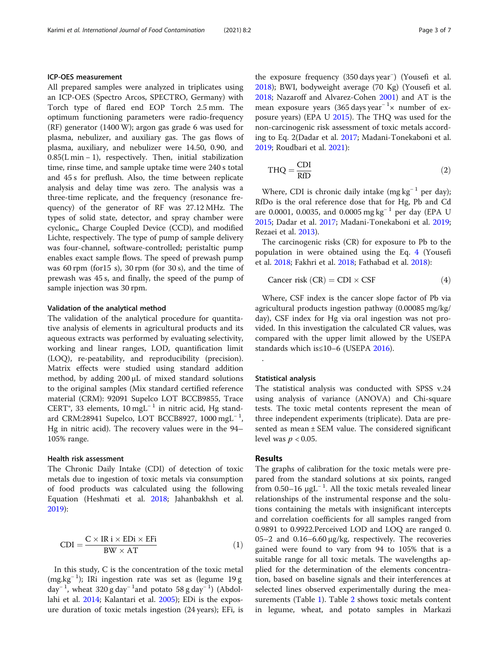# ICP-OES measurement

All prepared samples were analyzed in triplicates using an ICP-OES (Spectro Arcos, SPECTRO, Germany) with Torch type of flared end EOP Torch 2.5 mm. The optimum functioning parameters were radio-frequency (RF) generator (1400 W); argon gas grade 6 was used for plasma, nebulizer, and auxiliary gas. The gas flows of plasma, auxiliary, and nebulizer were 14.50, 0.90, and 0.85(L min − 1), respectively. Then, initial stabilization time, rinse time, and sample uptake time were 240 s total and 45 s for preflush. Also, the time between replicate analysis and delay time was zero. The analysis was a three-time replicate, and the frequency (resonance frequency) of the generator of RF was 27.12 MHz. The types of solid state, detector, and spray chamber were cyclonic,, Charge Coupled Device (CCD), and modified Lichte, respectively. The type of pump of sample delivery was four-channel, software-controlled; peristaltic pump enables exact sample flows. The speed of prewash pump was 60 rpm (for15 s), 30 rpm (for 30 s), and the time of prewash was 45 s, and finally, the speed of the pump of sample injection was 30 rpm.

### Validation of the analytical method

The validation of the analytical procedure for quantitative analysis of elements in agricultural products and its aqueous extracts was performed by evaluating selectivity, working and linear ranges, LOD, quantification limit (LOQ), re-peatability, and reproducibility (precision). Matrix effects were studied using standard addition method, by adding 200 μL of mixed standard solutions to the original samples (Mix standard certified reference material (CRM): 92091 Supelco LOT BCCB9855, Trace CERT®, 33 elements, 10 mgL<sup>-1</sup> in nitric acid, Hg standard CRM:28941 Supelco, LOT BCCB8927, 1000 mgL<sup>-1</sup>, Hg in nitric acid). The recovery values were in the 94– 105% range.

# Health risk assessment

The Chronic Daily Intake (CDI) of detection of toxic metals due to ingestion of toxic metals via consumption of food products was calculated using the following Equation (Heshmati et al. [2018;](#page-5-0) Jahanbakhsh et al. [2019](#page-6-0)):

$$
CDI = \frac{C \times IR \times EDi \times EFi}{BW \times AT}
$$
 (1)

In this study, C is the concentration of the toxic metal (mg.kg<sup>−</sup> <sup>1</sup> ); IRi ingestion rate was set as (legume 19 g day<sup>-1</sup>, wheat 320 g day<sup>-1</sup> and potato 58 g day<sup>-1</sup>) (Abdollahi et al. [2014;](#page-5-0) Kalantari et al. [2005](#page-6-0)); EDi is the exposure duration of toxic metals ingestion (24 years); EFi, is

the exposure frequency (350 days year<sup>−</sup> ) (Yousefi et al. [2018](#page-6-0)); BWI, bodyweight average (70 Kg) (Yousefi et al. [2018](#page-6-0); Nazaroff and Alvarez-Cohen [2001\)](#page-6-0) and AT is the mean exposure years (365 days year<sup>-1</sup> × number of exposure years) (EPA U [2015](#page-5-0)). The THQ was used for the non-carcinogenic risk assessment of toxic metals according to Eq. 2(Dadar et al. [2017;](#page-5-0) Madani-Tonekaboni et al. [2019](#page-6-0); Roudbari et al. [2021\)](#page-6-0):

$$
THQ = \frac{CDI}{RfD}
$$
 (2)

Where, CDI is chronic daily intake (mg  $kg^{-1}$  per day); RfDo is the oral reference dose that for Hg, Pb and Cd are 0.0001, 0.0035, and 0.0005 mg kg<sup>-1</sup> per day (EPA U [2015](#page-5-0); Dadar et al. [2017;](#page-5-0) Madani-Tonekaboni et al. [2019](#page-6-0); Rezaei et al. [2013\)](#page-6-0).

The carcinogenic risks (CR) for exposure to Pb to the population in were obtained using the Eq. 4 (Yousefi et al. [2018;](#page-6-0) Fakhri et al. [2018](#page-5-0); Fathabad et al. [2018](#page-5-0)):

$$
Cancer risk (CR) = CDI \times CSF
$$
 (4)

Where, CSF index is the cancer slope factor of Pb via agricultural products ingestion pathway (0.00085 mg/kg/ day), CSF index for Hg via oral ingestion was not provided. In this investigation the calculated CR values, was compared with the upper limit allowed by the USEPA standards which is≤10–6 (USEPA [2016](#page-6-0)).

# Statistical analysis

The statistical analysis was conducted with SPSS v.24 using analysis of variance (ANOVA) and Chi-square tests. The toxic metal contents represent the mean of three independent experiments (triplicate). Data are presented as mean ± SEM value. The considered significant level was  $p < 0.05$ .

# Results

.

The graphs of calibration for the toxic metals were prepared from the standard solutions at six points, ranged from 0.50–16  $\mu$ gL<sup>-1</sup>. All the toxic metals revealed linear relationships of the instrumental response and the solutions containing the metals with insignificant intercepts and correlation coefficients for all samples ranged from 0.9891 to 0.9922.Perceived LOD and LOQ are ranged 0. 05–2 and 0.16–6.60 μg/kg, respectively. The recoveries gained were found to vary from 94 to 105% that is a suitable range for all toxic metals. The wavelengths applied for the determination of the elements concentration, based on baseline signals and their interferences at selected lines observed experimentally during the measurements (Table [1](#page-3-0)). Table [2](#page-3-0) shows toxic metals content in legume, wheat, and potato samples in Markazi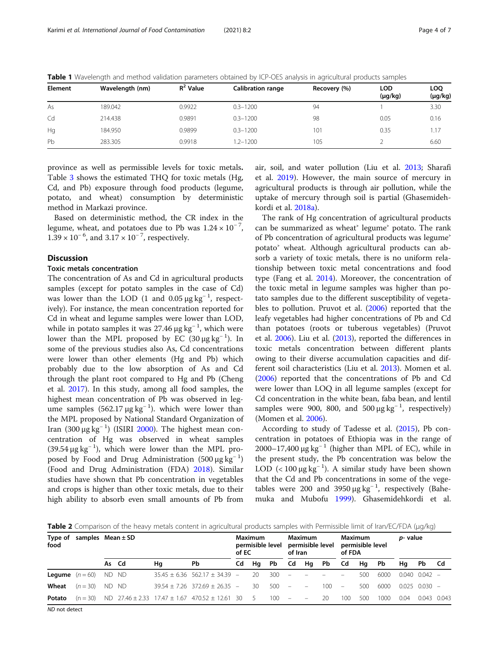| <b>Element</b> | Wavelength (nm) | $R^2$ Value | <b>Calibration range</b> | Recovery (%) | LOD<br>$(\mu g/kg)$ | LOQ<br>$(\mu g/kg)$ |
|----------------|-----------------|-------------|--------------------------|--------------|---------------------|---------------------|
| As             | 189.042         | 0.9922      | $0.3 - 1200$             | 94           |                     | 3.30                |
| Cd             | 214.438         | 0.9891      | $0.3 - 1200$             | 98           | 0.05                | 0.16                |
| Hq             | 184.950         | 0.9899      | $0.3 - 1200$             | 101          | 0.35                | 1.17                |
| Pb             | 283.305         | 0.9918      | $1.2 - 1200$             | 105          |                     | 6.60                |

<span id="page-3-0"></span>Table 1 Wavelength and method validation parameters obtained by ICP-OES analysis in agricultural products samples

province as well as permissible levels for toxic metals. Table [3](#page-4-0) shows the estimated THQ for toxic metals (Hg, Cd, and Pb) exposure through food products (legume, potato, and wheat) consumption by deterministic method in Markazi province.

Based on deterministic method, the CR index in the legume, wheat, and potatoes due to Pb was  $1.24 \times 10^{-7}$ ,  $1.39 \times 10^{-6}$ , and  $3.17 \times 10^{-7}$ , respectively.

# **Discussion**

# Toxic metals concentration

The concentration of As and Cd in agricultural products samples (except for potato samples in the case of Cd) was lower than the LOD (1 and  $0.05 \mu g kg^{-1}$ , respectively). For instance, the mean concentration reported for Cd in wheat and legume samples were lower than LOD, while in potato samples it was 27.46  $\mu$ g kg<sup>-1</sup>, which were lower than the MPL proposed by  $\overline{EC}$  (30  $\mu$ g kg<sup>-1</sup>). In some of the previous studies also As, Cd concentrations were lower than other elements (Hg and Pb) which probably due to the low absorption of As and Cd through the plant root compared to Hg and Pb (Cheng et al. [2017](#page-5-0)). In this study, among all food samples, the highest mean concentration of Pb was observed in legume samples  $(562.17 \,\mu g \,\text{kg}^{-1})$ . which were lower than the MPL proposed by National Standard Organization of Iran (300  $\mu$ g kg<sup>-1</sup>) (ISIRI [2000](#page-5-0)). The highest mean concentration of Hg was observed in wheat samples  $(39.54 \,\mu g \text{ kg}^{-1})$ , which were lower than the MPL proposed by Food and Drug Administration (500  $\mu$ g kg<sup>-1</sup>) (Food and Drug Administration (FDA) [2018\)](#page-5-0). Similar studies have shown that Pb concentration in vegetables and crops is higher than other toxic metals, due to their high ability to absorb even small amounts of Pb from air, soil, and water pollution (Liu et al. [2013;](#page-6-0) Sharafi et al. [2019\)](#page-6-0). However, the main source of mercury in agricultural products is through air pollution, while the uptake of mercury through soil is partial (Ghasemidehkordi et al. [2018a\)](#page-5-0).

The rank of Hg concentration of agricultural products can be summarized as wheat' legume' potato. The rank of Pb concentration of agricultural products was legume<sup>s</sup> potato' wheat. Although agricultural products can absorb a variety of toxic metals, there is no uniform relationship between toxic metal concentrations and food type (Fang et al. [2014](#page-5-0)). Moreover, the concentration of the toxic metal in legume samples was higher than potato samples due to the different susceptibility of vegetables to pollution. Pruvot et al. ([2006](#page-6-0)) reported that the leafy vegetables had higher concentrations of Pb and Cd than potatoes (roots or tuberous vegetables) (Pruvot et al. [2006\)](#page-6-0). Liu et al. [\(2013\)](#page-6-0), reported the differences in toxic metals concentration between different plants owing to their diverse accumulation capacities and different soil characteristics (Liu et al. [2013](#page-6-0)). Momen et al. ([2006\)](#page-6-0) reported that the concentrations of Pb and Cd were lower than LOQ in all legume samples (except for Cd concentration in the white bean, faba bean, and lentil samples were 900, 800, and 500  $\mu$ g kg<sup>-1</sup>, respectively) (Momen et al. [2006](#page-6-0)).

According to study of Tadesse et al. ([2015](#page-6-0)), Pb concentration in potatoes of Ethiopia was in the range of 2000–17,400 μg kg<sup>-1</sup> (higher than MPL of EC), while in the present study, the Pb concentration was below the LOD (< 100  $\mu$ g kg<sup>-1</sup>). A similar study have been shown that the Cd and Pb concentrations in some of the vegetables were 200 and 3950  $\mu$ g kg<sup>-1</sup>, respectively (Bahemuka and Mubofu [1999\)](#page-5-0). Ghasemidehkordi et al.

**Table 2** Comparison of the heavy metals content in agricultural products samples with Permissible limit of Iran/EC/FDA (μg/kg)

| Type of<br>food                          |                          | samples $Mean \pm SD$ |       |    | Maximum<br>permisible level<br>of EC                         |  | Maximum<br>permisible level<br>of Iran |         | Maximum<br>permisible level<br>of FDA |                          |      | <i>p</i> - value         |     |           |      |                     |  |
|------------------------------------------|--------------------------|-----------------------|-------|----|--------------------------------------------------------------|--|----------------------------------------|---------|---------------------------------------|--------------------------|------|--------------------------|-----|-----------|------|---------------------|--|
|                                          |                          |                       | As Cd | Ha | Pb                                                           |  | Cd Hg Pb                               |         | Cd                                    | Hq                       | - Pb | Cd                       | Hq  | <b>Pb</b> | Ha   | Pb Cd               |  |
|                                          | <b>Lequme</b> $(n = 60)$ | ND ND                 |       |    | $35.45 + 6.36$ 562.17 + 34.39 –                              |  | 20                                     | 300     |                                       |                          |      |                          | 500 | 6000      |      | $0.040$ $0.042$ $-$ |  |
| Wheat                                    | $(n = 30)$               |                       | ND ND |    | $39.54 + 7.26$ $372.69 + 26.35$ -                            |  | 30                                     | 500     | $\overline{\phantom{a}}$              | $\overline{\phantom{0}}$ | 100  | $\overline{\phantom{a}}$ | 500 | 6000      |      | $0.025$ $0.030$ $-$ |  |
| Potato                                   | $(n = 30)$               |                       |       |    | ND $27.46 \pm 2.33$ $17.47 \pm 1.67$ $470.52 \pm 12.61$ 30 5 |  |                                        | $100 -$ |                                       | $\overline{\phantom{a}}$ | 20   | 100                      | 500 | 1000      | 0.04 | $0.043$ $0.043$     |  |
| $ABD \rightarrow AB$ $AB \rightarrow AB$ |                          |                       |       |    |                                                              |  |                                        |         |                                       |                          |      |                          |     |           |      |                     |  |

ND not detect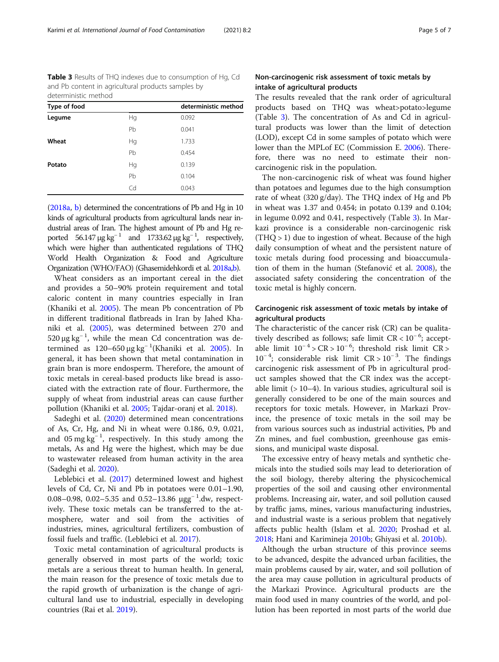<span id="page-4-0"></span>Table 3 Results of THQ indexes due to consumption of Hg, Cd and Pb content in agricultural products samples by deterministic method

| Type of food |    | deterministic method |  |  |  |
|--------------|----|----------------------|--|--|--|
| Legume       | Hq | 0.092                |  |  |  |
|              | Pb | 0.041                |  |  |  |
| Wheat        | Hg | 1.733                |  |  |  |
|              | Pb | 0.454                |  |  |  |
| Potato       | Hg | 0.139                |  |  |  |
|              | Pb | 0.104                |  |  |  |
|              | Cd | 0.043                |  |  |  |

([2018a,](#page-5-0) [b](#page-5-0)) determined the concentrations of Pb and Hg in 10 kinds of agricultural products from agricultural lands near industrial areas of Iran. The highest amount of Pb and Hg reported 56.147  $\mu$ g kg<sup>-1</sup> and 1733.62  $\mu$ g kg<sup>-1</sup>, respectively, which were higher than authenticated regulations of THQ World Health Organization & Food and Agriculture Organization (WHO/FAO) (Ghasemidehkordi et al. [2018a,b](#page-5-0)).

Wheat considers as an important cereal in the diet and provides a 50–90% protein requirement and total caloric content in many countries especially in Iran (Khaniki et al. [2005\)](#page-6-0). The mean Pb concentration of Pb in different traditional flatbreads in Iran by Jahed Khaniki et al. [\(2005\)](#page-6-0), was determined between 270 and 520 μg kg<sup>-1</sup>, while the mean Cd concentration was de-termined as 120–650 μg kg<sup>-1</sup>(Khaniki et al. [2005\)](#page-6-0). In general, it has been shown that metal contamination in grain bran is more endosperm. Therefore, the amount of toxic metals in cereal-based products like bread is associated with the extraction rate of flour. Furthermore, the supply of wheat from industrial areas can cause further pollution (Khaniki et al. [2005;](#page-6-0) Tajdar-oranj et al. [2018](#page-6-0)).

Sadeghi et al. [\(2020\)](#page-6-0) determined mean concentrations of As, Cr, Hg, and Ni in wheat were 0.186, 0.9, 0.021, and 05 mg  $\text{kg}^{-1}$ , respectively. In this study among the metals, As and Hg were the highest, which may be due to wastewater released from human activity in the area (Sadeghi et al. [2020\)](#page-6-0).

Leblebici et al. ([2017\)](#page-6-0) determined lowest and highest levels of Cd, Cr, Ni and Pb in potatoes were 0.01–1.90, 0.08–0.98, 0.02–5.35 and 0.52–13.86  $\mu$ gg<sup>-1</sup>.dw, respectively. These toxic metals can be transferred to the atmosphere, water and soil from the activities of industries, mines, agricultural fertilizers, combustion of fossil fuels and traffic. (Leblebici et al. [2017](#page-6-0)).

Toxic metal contamination of agricultural products is generally observed in most parts of the world; toxic metals are a serious threat to human health. In general, the main reason for the presence of toxic metals due to the rapid growth of urbanization is the change of agricultural land use to industrial, especially in developing countries (Rai et al. [2019\)](#page-6-0).

# Non-carcinogenic risk assessment of toxic metals by intake of agricultural products

The results revealed that the rank order of agricultural products based on THQ was wheat>potato>legume (Table 3). The concentration of As and Cd in agricultural products was lower than the limit of detection (LOD), except Cd in some samples of potato which were lower than the MPLof EC (Commission E. [2006](#page-5-0)). Therefore, there was no need to estimate their noncarcinogenic risk in the population.

The non-carcinogenic risk of wheat was found higher than potatoes and legumes due to the high consumption rate of wheat (320 g/day). The THQ index of Hg and Pb in wheat was 1.37 and 0.454; in potato 0.139 and 0.104; in legume 0.092 and 0.41, respectively (Table 3). In Markazi province is a considerable non-carcinogenic risk  $(THQ > 1)$  due to ingestion of wheat. Because of the high daily consumption of wheat and the persistent nature of toxic metals during food processing and bioaccumulation of them in the human (Stefanović et al. [2008](#page-6-0)), the associated safety considering the concentration of the toxic metal is highly concern.

# Carcinogenic risk assessment of toxic metals by intake of agricultural products

The characteristic of the cancer risk (CR) can be qualitatively described as follows; safe limit CR < 10<sup>−</sup> <sup>6</sup> ; acceptable limit  $10^{-4}$  > CR >  $10^{-6}$ ; threshold risk limit CR > 10<sup>−</sup> <sup>4</sup> ; considerable risk limit CR > 10<sup>−</sup> <sup>3</sup> . The findings carcinogenic risk assessment of Pb in agricultural product samples showed that the CR index was the acceptable limit (> 10–4). In various studies, agricultural soil is generally considered to be one of the main sources and receptors for toxic metals. However, in Markazi Province, the presence of toxic metals in the soil may be from various sources such as industrial activities, Pb and Zn mines, and fuel combustion, greenhouse gas emissions, and municipal waste disposal.

The excessive entry of heavy metals and synthetic chemicals into the studied soils may lead to deterioration of the soil biology, thereby altering the physicochemical properties of the soil and causing other environmental problems. Increasing air, water, and soil pollution caused by traffic jams, mines, various manufacturing industries, and industrial waste is a serious problem that negatively affects public health (Islam et al. [2020](#page-5-0); Proshad et al. [2018](#page-6-0); Hani and Karimineja [2010b;](#page-5-0) Ghiyasi et al. [2010b](#page-5-0)).

Although the urban structure of this province seems to be advanced, despite the advanced urban facilities, the main problems caused by air, water, and soil pollution of the area may cause pollution in agricultural products of the Markazi Province. Agricultural products are the main food used in many countries of the world, and pollution has been reported in most parts of the world due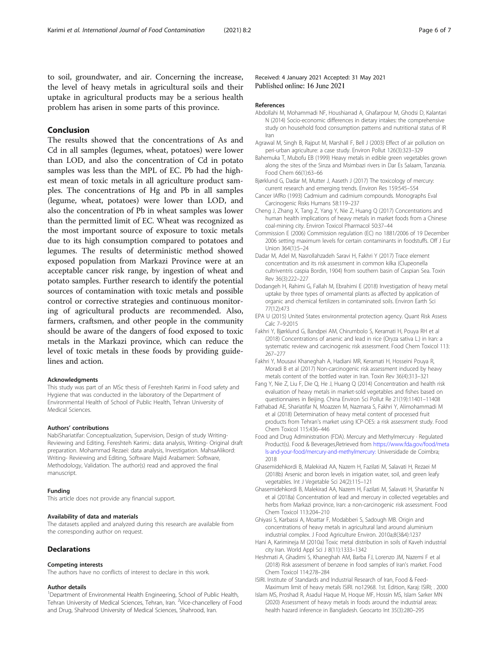<span id="page-5-0"></span>to soil, groundwater, and air. Concerning the increase, the level of heavy metals in agricultural soils and their uptake in agricultural products may be a serious health problem has arisen in some parts of this province.

# Conclusion

The results showed that the concentrations of As and Cd in all samples (legumes, wheat, potatoes) were lower than LOD, and also the concentration of Cd in potato samples was less than the MPL of EC. Pb had the highest mean of toxic metals in all agriculture product samples. The concentrations of Hg and Pb in all samples (legume, wheat, potatoes) were lower than LOD, and also the concentration of Pb in wheat samples was lower than the permitted limit of EC. Wheat was recognized as the most important source of exposure to toxic metals due to its high consumption compared to potatoes and legumes. The results of deterministic method showed exposed population from Markazi Province were at an acceptable cancer risk range, by ingestion of wheat and potato samples. Further research to identify the potential sources of contamination with toxic metals and possible control or corrective strategies and continuous monitoring of agricultural products are recommended. Also, farmers, craftsmen, and other people in the community should be aware of the dangers of food exposed to toxic metals in the Markazi province, which can reduce the level of toxic metals in these foods by providing guidelines and action.

#### Acknowledgments

This study was part of an MSc thesis of Fereshteh Karimi in Food safety and Hygiene that was conducted in the laboratory of the Department of Environmental Health of School of Public Health, Tehran University of Medical Sciences.

#### Authors' contributions

NabiShariatifar: Conceptualization, Supervision, Design of study Writing-Reviewing and Editing. Fereshteh Karimi.: data analysis, Writing- Original draft preparation. Mohammad Rezaei: data analysis, Investigation. MahsaAlikord: Writing- Reviewing and Editing, Software Majid Arabameri: Software, Methodology, Validation. The author(s) read and approved the final manuscript.

#### Funding

This article does not provide any financial support.

### Availability of data and materials

The datasets applied and analyzed during this research are available from the corresponding author on request.

# **Declarations**

#### Competing interests

The authors have no conflicts of interest to declare in this work.

#### Author details

<sup>1</sup>Department of Environmental Health Engineering, School of Public Health, Tehran University of Medical Sciences, Tehran, Iran. <sup>2</sup>Vice-chancellery of Food and Drug, Shahrood University of Medical Sciences, Shahrood, Iran.

Received: 4 January 2021 Accepted: 31 May 2021 Published online: 16 June 2021

#### References

- Abdollahi M, Mohammadi NF, Houshiarrad A, Ghafarpour M, Ghodsi D, Kalantari N (2014) Socio-economic differences in dietary intakes: the comprehensive study on household food consumption patterns and nutritional status of IR Iran
- Agrawal M, Singh B, Rajput M, Marshall F, Bell J (2003) Effect of air pollution on peri-urban agriculture: a case study. Environ Pollut 126(3):323–329
- Bahemuka T, Mubofu EB (1999) Heavy metals in edible green vegetables grown along the sites of the Sinza and Msimbazi rivers in Dar Es Salaam, Tanzania. Food Chem 66(1):63–66
- Bjørklund G, Dadar M, Mutter J, Aaseth J (2017) The toxicology of mercury: current research and emerging trends. Environ Res 159:545–554
- Cancer IAfRo (1993) Cadmium and cadmium compounds. Monographs Eval Carcinogenic Risks Humans 58:119–237
- Cheng J, Zhang X, Tang Z, Yang Y, Nie Z, Huang Q (2017) Concentrations and human health implications of heavy metals in market foods from a Chinese coal-mining city. Environ Toxicol Pharmacol 50:37–44
- Commission E (2006) Commission regulation (EC) no 1881/2006 of 19 December 2006 setting maximum levels for certain contaminants in foodstuffs. Off J Eur Union 364(1):5–24
- Dadar M, Adel M, Nasrollahzadeh Saravi H, Fakhri Y (2017) Trace element concentration and its risk assessment in common kilka (Clupeonella cultriventris caspia Bordin, 1904) from southern basin of Caspian Sea. Toxin Rev 36(3):222–227
- Dodangeh H, Rahimi G, Fallah M, Ebrahimi E (2018) Investigation of heavy metal uptake by three types of ornamental plants as affected by application of organic and chemical fertilizers in contaminated soils. Environ Earth Sci 77(12):473
- EPA U (2015) United States environmental protection agency. Quant Risk Assess Calc 7–9:2015
- Fakhri Y, Bjørklund G, Bandpei AM, Chirumbolo S, Keramati H, Pouya RH et al (2018) Concentrations of arsenic and lead in rice (Oryza sativa L.) in Iran: a systematic review and carcinogenic risk assessment. Food Chem Toxicol 113: 267–277
- Fakhri Y, Mousavi Khaneghah A, Hadiani MR, Keramati H, Hosseini Pouya R, Moradi B et al (2017) Non-carcinogenic risk assessment induced by heavy metals content of the bottled water in Iran. Toxin Rev 36(4):313–321
- Fang Y, Nie Z, Liu F, Die Q, He J, Huang Q (2014) Concentration and health risk evaluation of heavy metals in market-sold vegetables and fishes based on questionnaires in Beijing. China Environ Sci Pollut Re 21(19):11401–11408
- Fathabad AE, Shariatifar N, Moazzen M, Nazmara S, Fakhri Y, Alimohammadi M et al (2018) Determination of heavy metal content of processed fruit products from Tehran's market using ICP-OES: a risk assessment study. Food Chem Toxicol 115:436–446
- Food and Drug Administration (FDA). Mercury and Methylmercury · Regulated Product(s). Food & Beverages,Retrieved from [https://www.fda.gov/food/meta](https://www.fda.gov/food/metals-and-your-food/mercury-and-methylmercury:) [ls-and-your-food/mercury-and-methylmercury:](https://www.fda.gov/food/metals-and-your-food/mercury-and-methylmercury:) Universidade de Coimbra; 2018
- Ghasemidehkordi B, Malekirad AA, Nazem H, Fazilati M, Salavati H, Rezaei M (2018b) Arsenic and boron levels in irrigation water, soil, and green leafy vegetables. Int J Vegetable Sci 24(2):115–121
- Ghasemidehkordi B, Malekirad AA, Nazem H, Fazilati M, Salavati H, Shariatifar N et al (2018a) Concentration of lead and mercury in collected vegetables and herbs from Markazi province, Iran: a non-carcinogenic risk assessment. Food Chem Toxicol 113:204–210
- Ghiyasi S, Karbassi A, Moattar F, Modabberi S, Sadough MB. Origin and concentrations of heavy metals in agricultural land around aluminium industrial complex. J Food Agriculture Environ. 2010a;8(3&4):1237
- Hani A, Karimineja M (2010a) Toxic metal distribution in soils of Kaveh industrial city Iran. World Appl Sci J 8(11):1333–1342
- Heshmati A, Ghadimi S, Khaneghah AM, Barba FJ, Lorenzo JM, Nazemi F et al (2018) Risk assessment of benzene in food samples of Iran's market. Food Chem Toxicol 114:278–284
- ISIRI. Institute of Standards and Industrial Research of Iran, Food & Feed-Maximum limit of heavy metals ISIRI. no12968. 1st. Edition, Karaj: ISIRI; . 2000
- Islam MS, Proshad R, Asadul Haque M, Hoque MF, Hossin MS, Islam Sarker MN (2020) Assessment of heavy metals in foods around the industrial areas: health hazard inference in Bangladesh. Geocarto Int 35(3):280–295